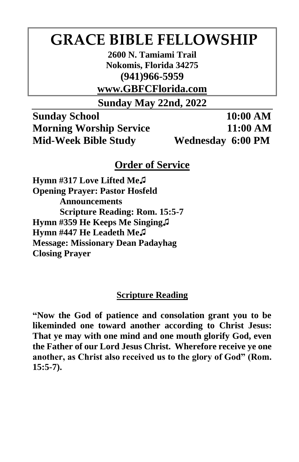# **GRACE BIBLE FELLOWSHIP**

**2600 N. Tamiami Trail Nokomis, Florida 34275 (941)966-5959**

**www.GBFCFlorida.com**

**Sunday May 22nd, 2022**

**Sunday School 10:00 AM Morning Worship Service 11:00 AM Mid-Week Bible Study Wednesday 6:00 PM**

## **Order of Service**

**Hymn #317 Love Lifted Me♫ Opening Prayer: Pastor Hosfeld Announcements Scripture Reading: Rom. 15:5-7 Hymn #359 He Keeps Me Singing♫ Hymn #447 He Leadeth Me♫ Message: Missionary Dean Padayhag Closing Prayer**

## **Scripture Reading**

**"Now the God of patience and consolation grant you to be likeminded one toward another according to Christ Jesus: That ye may with one mind and one mouth glorify God, even the Father of our Lord Jesus Christ. Wherefore receive ye one another, as Christ also received us to the glory of God" (Rom. 15:5-7).**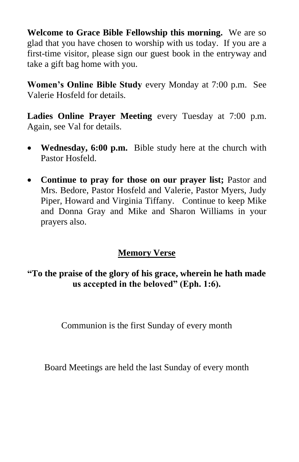**Welcome to Grace Bible Fellowship this morning.** We are so glad that you have chosen to worship with us today. If you are a first-time visitor, please sign our guest book in the entryway and take a gift bag home with you.

**Women's Online Bible Study** every Monday at 7:00 p.m. See Valerie Hosfeld for details.

**Ladies Online Prayer Meeting** every Tuesday at 7:00 p.m. Again, see Val for details.

- **Wednesday, 6:00 p.m.** Bible study here at the church with Pastor Hosfeld.
- **Continue to pray for those on our prayer list;** Pastor and Mrs. Bedore, Pastor Hosfeld and Valerie, Pastor Myers, Judy Piper, Howard and Virginia Tiffany. Continue to keep Mike and Donna Gray and Mike and Sharon Williams in your prayers also.

## **Memory Verse**

**"To the praise of the glory of his grace, wherein he hath made us accepted in the beloved" (Eph. 1:6).**

Communion is the first Sunday of every month

Board Meetings are held the last Sunday of every month